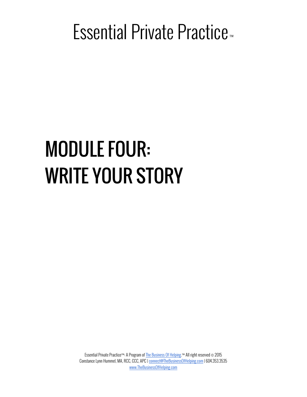### Essential Private Practice<sup>™</sup>

# MODULE FOUR: WRITE YOUR STORY

Essential Private Practice™: A Program of The Business Of Helping.™ All right reserved © 2015 Constance Lynn Hummel, MA, RCC, CCC, APC | connect@TheBusinessOfHelping.com | 604.353.3535 www.TheBusinessOfHelping.com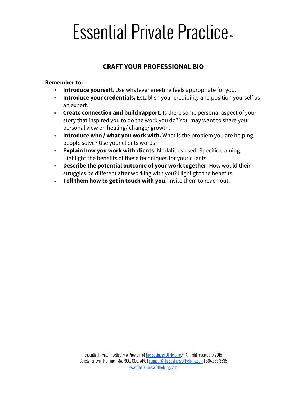## Essential Private Practice<sup>™</sup>

#### **CRAFT YOUR PROFESSIONAL BIO**

#### **Remember to:**

- **Introduce yourself.** Use whatever greeting feels appropriate for you.
- **Introduce your credentials.** Establish your credibility and position yourself as an expert.
- **Create connection and build rapport.** Is there some personal aspect of your story that inspired you to do the work you do? You may want to share your personal view on healing/ change/ growth.
- **Introduce who / what you work with.** What is the problem you are helping people solve? Use your clients words
- **Explain how you work with clients.** Modalities used. Specific training. Highlight the benefits of these techniques for your clients.
- **Describe the potential outcome of your work together**. How would their struggles be different after working with you? Highlight the benefits.
- **Tell them how to get in touch with you.** Invite them to reach out.